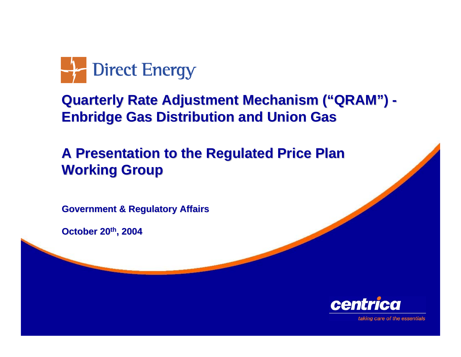

#### **Quarterly Rate Adjustment Mechanism ("QRAM") - Enbridge Gas Distribution and Union Gas**

#### **A Presentation to the Regulated Price Plan Working Group Working Group**

**Government Government & Regulatory Affairs & Regulatory Affairs**

**October 20 October 20th, 2004**



taking care of the essentials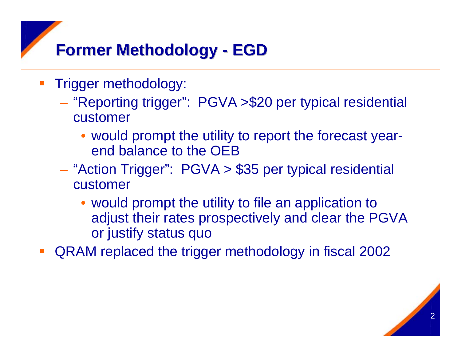#### **Former Methodology Former Methodology - EGD**

- **STATE**  Trigger methodology:
	- "Reporting trigger": PGVA >\$20 per typical residential customer
		- would prompt the utility to report the forecast yearend balance to the OEB
	- "Action Trigger": PGVA > \$35 per typical residential customer
		- would prompt the utility to file an application to adjust their rates prospectively and clear the PGVA or justify status quo
- QRAM replaced the trigger methodology in fiscal 2002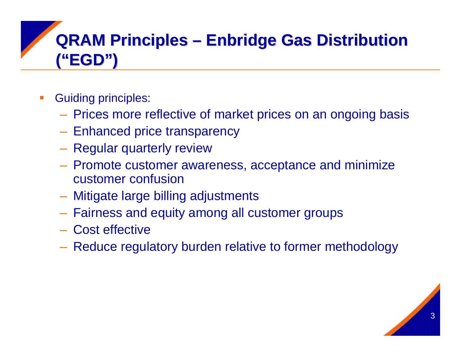# **QRAM Principles – Enbridge Gas Distribution ("EGD") ("EGD")**

- Guiding principles:
	- Prices more reflective of market prices on an ongoing basis
	- Enhanced price transparency
	- Regular quarterly review
	- Promote customer awareness, acceptance and minimize customer confusion
	- Mitigate large billing adjustments
	- **Hart Communication** Fairness and equity among all customer groups
	- Cost effective
	- Reduce regulatory burden relative to former methodology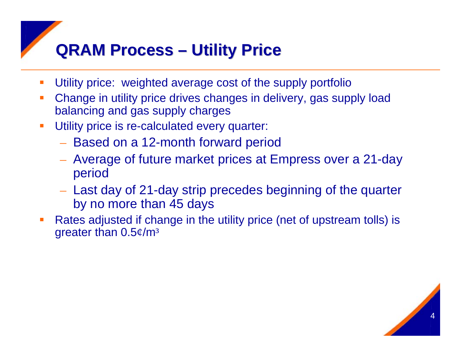## **QRAM Process QRAM Process – Utility Price Utility Price**

- $\mathcal{L}_{\mathcal{A}}$ Utility price: weighted average cost of the supply portfolio
- $\overline{\phantom{a}}$  Change in utility price drives changes in delivery, gas supply load balancing and gas supply charges
- п Utility price is re-calculated every quarter:
	- Based on a 12-month forward period
	- Average of future market prices at Empress over a 21-day period
	- Last day of 21-day strip precedes beginning of the quarter by no more than 45 days
- Rates adjusted if change in the utility price (net of upstream tolls) is greater than 0.5¢/m<sup>³</sup>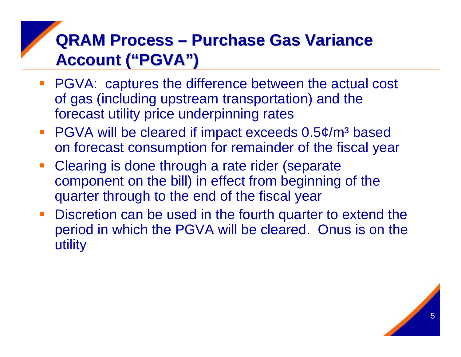## **QRAM Process – Purchase Gas Variance Account ("PGVA") Account ("PGVA")**

- **PGVA: captures the difference between the actual cost** of gas (including upstream transportation) and the forecast utility price underpinning rates
- PGVA will be cleared if impact exceeds 0.5¢/m<sup>3</sup> based on forecast consumption for remainder of the fiscal year
- **Clearing is done through a rate rider (separate** component on the bill) in effect from beginning of the quarter through to the end of the fiscal year
- **Discretion can be used in the fourth quarter to extend the** period in which the PGVA will be cleared. Onus is on the utility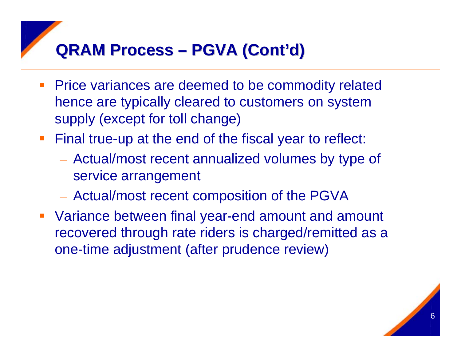### **QRAM Process QRAM Process – PGVA (Cont'd) PGVA (Cont'd)**

- **Price variances are deemed to be commodity related** hence are typically cleared to customers on system supply (except for toll change)
- **Final true-up at the end of the fiscal year to reflect:** 
	- Actual/most recent annualized volumes by type of service arrangement
	- Actual/most recent composition of the PGVA
- Variance between final year-end amount and amount recovered through rate riders is charged/remitted as a one-time adjustment (after prudence review)